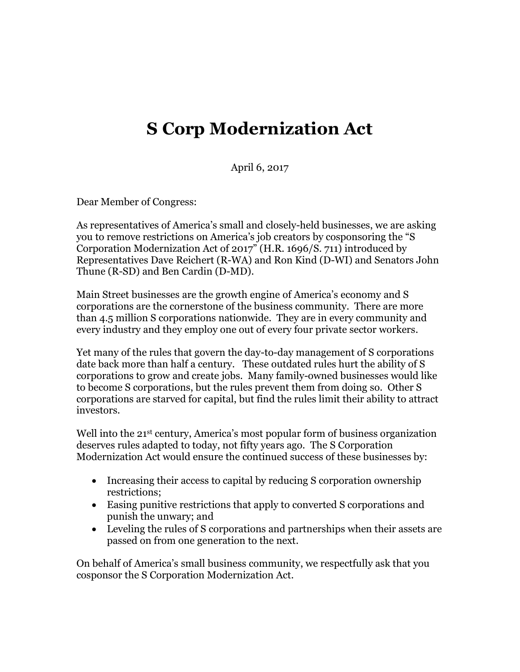## **S Corp Modernization Act**

April 6, 2017

Dear Member of Congress:

As representatives of America's small and closely-held businesses, we are asking you to remove restrictions on America's job creators by cosponsoring the "S Corporation Modernization Act of 2017" (H.R. 1696/S. 711) introduced by Representatives Dave Reichert (R-WA) and Ron Kind (D-WI) and Senators John Thune (R-SD) and Ben Cardin (D-MD).

Main Street businesses are the growth engine of America's economy and S corporations are the cornerstone of the business community. There are more than 4.5 million S corporations nationwide. They are in every community and every industry and they employ one out of every four private sector workers.

Yet many of the rules that govern the day-to-day management of S corporations date back more than half a century. These outdated rules hurt the ability of S corporations to grow and create jobs. Many family-owned businesses would like to become S corporations, but the rules prevent them from doing so. Other S corporations are starved for capital, but find the rules limit their ability to attract investors.

Well into the 21<sup>st</sup> century, America's most popular form of business organization deserves rules adapted to today, not fifty years ago. The S Corporation Modernization Act would ensure the continued success of these businesses by:

- Increasing their access to capital by reducing S corporation ownership restrictions;
- Easing punitive restrictions that apply to converted S corporations and punish the unwary; and
- Leveling the rules of S corporations and partnerships when their assets are passed on from one generation to the next.

On behalf of America's small business community, we respectfully ask that you cosponsor the S Corporation Modernization Act.